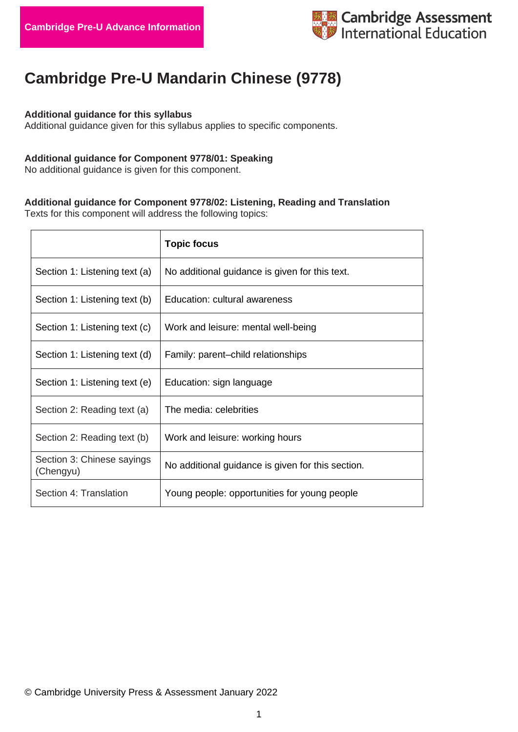

# **Cambridge Pre-U Mandarin Chinese (9778)**

### **Additional guidance for this syllabus**

Additional guidance given for this syllabus applies to specific components.

### **Additional guidance for Component 9778/01: Speaking**

No additional guidance is given for this component.

## **Additional guidance for Component 9778/02: Listening, Reading and Translation**

Texts for this component will address the following topics:

|                                         | <b>Topic focus</b>                                |
|-----------------------------------------|---------------------------------------------------|
| Section 1: Listening text (a)           | No additional guidance is given for this text.    |
| Section 1: Listening text (b)           | Education: cultural awareness                     |
| Section 1: Listening text (c)           | Work and leisure: mental well-being               |
| Section 1: Listening text (d)           | Family: parent-child relationships                |
| Section 1: Listening text (e)           | Education: sign language                          |
| Section 2: Reading text (a)             | The media: celebrities                            |
| Section 2: Reading text (b)             | Work and leisure: working hours                   |
| Section 3: Chinese sayings<br>(Chengyu) | No additional guidance is given for this section. |
| Section 4: Translation                  | Young people: opportunities for young people      |